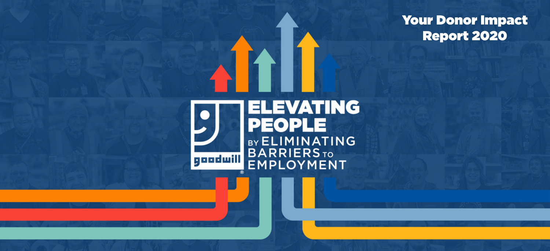Your Donor Impact Report 2020

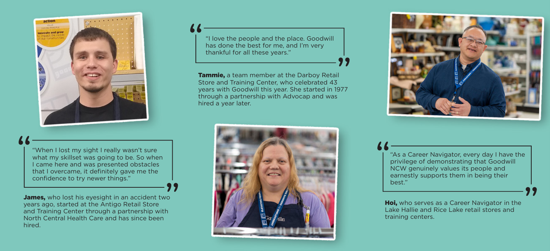

"When I lost my sight I really wasn't sure what my skillset was going to be. So when I came here and was presented obstacles that I overcame, it definitely gave me the confidence to try newer things."

**James.** who lost his evesight in an accident two years ago, started at the Antigo Retail Store and Training Center through a partnership with North Central Health Care and has since been hired.

"I love the people and the place. Goodwill has done the best for me, and I'm very thankful for all these years."

Tammie, a team member at the Darboy Retail Store and Training Center, who celebrated 43 years with Goodwill this year. She started in 1977 through a partnership with Advocap and was hired a year later.





"As a Career Navigator, every day I have the privilege of demonstrating that Goodwill NCW genuinely values its people and earnestly supports them in being their best."

Hoi, who serves as a Career Navigator in the Lake Hallie and Rice Lake retail stores and training centers.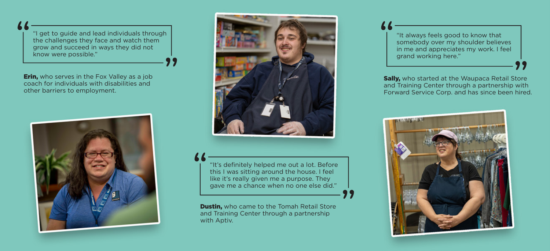"I get to guide and lead individuals through the challenges they face and watch them grow and succeed in ways they did not know were possible."

**Erin,** who serves in the Fox Valley as a job coach for individuals with disabilities and other barriers to employment.





"It's definitely helped me out a lot. Before this I was sitting around the house. I feel like it's really given me a purpose. They gave me a chance when no one else did."

**Dustin,** who came to the Tomah Retail Store and Training Center through a partnership with Aptiv.

"It always feels good to know that somebody over my shoulder believes in me and appreciates my work. I feel grand working here."

**Sally,** who started at the Waupaca Retail Store and Training Center through a partnership with Forward Service Corp. and has since been hired.